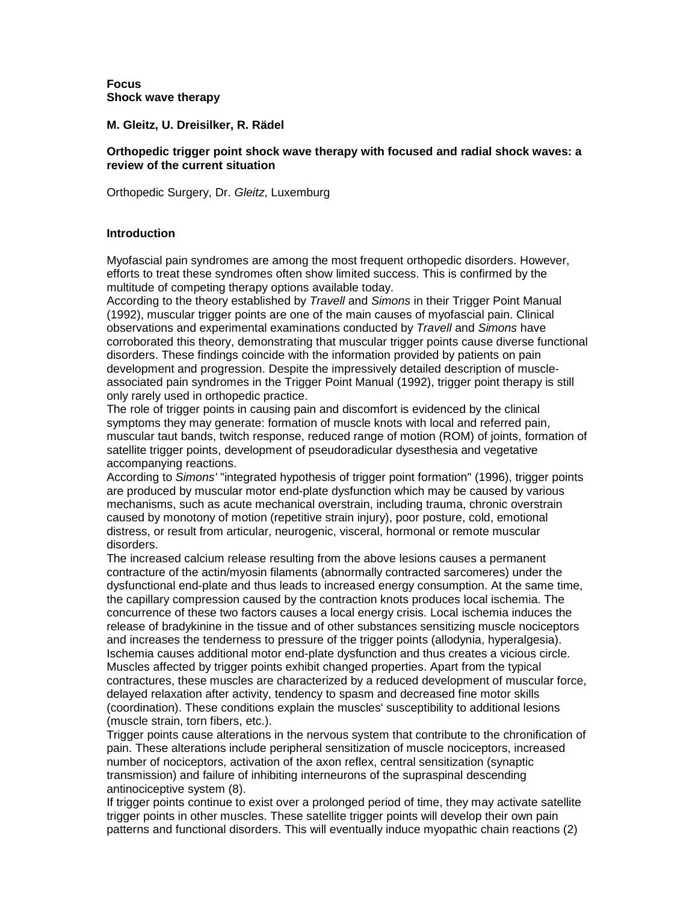**Focus Shock wave therapy** 

**M. Gleitz, U. Dreisilker, R. Rädel** 

#### **Orthopedic trigger point shock wave therapy with focused and radial shock waves: a review of the current situation**

Orthopedic Surgery, Dr. *Gleitz*, Luxemburg

### **Introduction**

Myofascial pain syndromes are among the most frequent orthopedic disorders. However, efforts to treat these syndromes often show limited success. This is confirmed by the multitude of competing therapy options available today.

According to the theory established by *Travell* and *Simons* in their Trigger Point Manual (1992), muscular trigger points are one of the main causes of myofascial pain. Clinical observations and experimental examinations conducted by *Travell* and *Simons* have corroborated this theory, demonstrating that muscular trigger points cause diverse functional disorders. These findings coincide with the information provided by patients on pain development and progression. Despite the impressively detailed description of muscleassociated pain syndromes in the Trigger Point Manual (1992), trigger point therapy is still only rarely used in orthopedic practice.

The role of trigger points in causing pain and discomfort is evidenced by the clinical symptoms they may generate: formation of muscle knots with local and referred pain, muscular taut bands, twitch response, reduced range of motion (ROM) of joints, formation of satellite trigger points, development of pseudoradicular dysesthesia and vegetative accompanying reactions.

According to *Simons'* "integrated hypothesis of trigger point formation" (1996), trigger points are produced by muscular motor end-plate dysfunction which may be caused by various mechanisms, such as acute mechanical overstrain, including trauma, chronic overstrain caused by monotony of motion (repetitive strain injury), poor posture, cold, emotional distress, or result from articular, neurogenic, visceral, hormonal or remote muscular disorders.

The increased calcium release resulting from the above lesions causes a permanent contracture of the actin/myosin filaments (abnormally contracted sarcomeres) under the dysfunctional end-plate and thus leads to increased energy consumption. At the same time, the capillary compression caused by the contraction knots produces local ischemia. The concurrence of these two factors causes a local energy crisis. Local ischemia induces the release of bradykinine in the tissue and of other substances sensitizing muscle nociceptors and increases the tenderness to pressure of the trigger points (allodynia, hyperalgesia). Ischemia causes additional motor end-plate dysfunction and thus creates a vicious circle. Muscles affected by trigger points exhibit changed properties. Apart from the typical contractures, these muscles are characterized by a reduced development of muscular force, delayed relaxation after activity, tendency to spasm and decreased fine motor skills (coordination). These conditions explain the muscles' susceptibility to additional lesions (muscle strain, torn fibers, etc.).

Trigger points cause alterations in the nervous system that contribute to the chronification of pain. These alterations include peripheral sensitization of muscle nociceptors, increased number of nociceptors, activation of the axon reflex, central sensitization (synaptic transmission) and failure of inhibiting interneurons of the supraspinal descending antinociceptive system (8).

If trigger points continue to exist over a prolonged period of time, they may activate satellite trigger points in other muscles. These satellite trigger points will develop their own pain patterns and functional disorders. This will eventually induce myopathic chain reactions (2)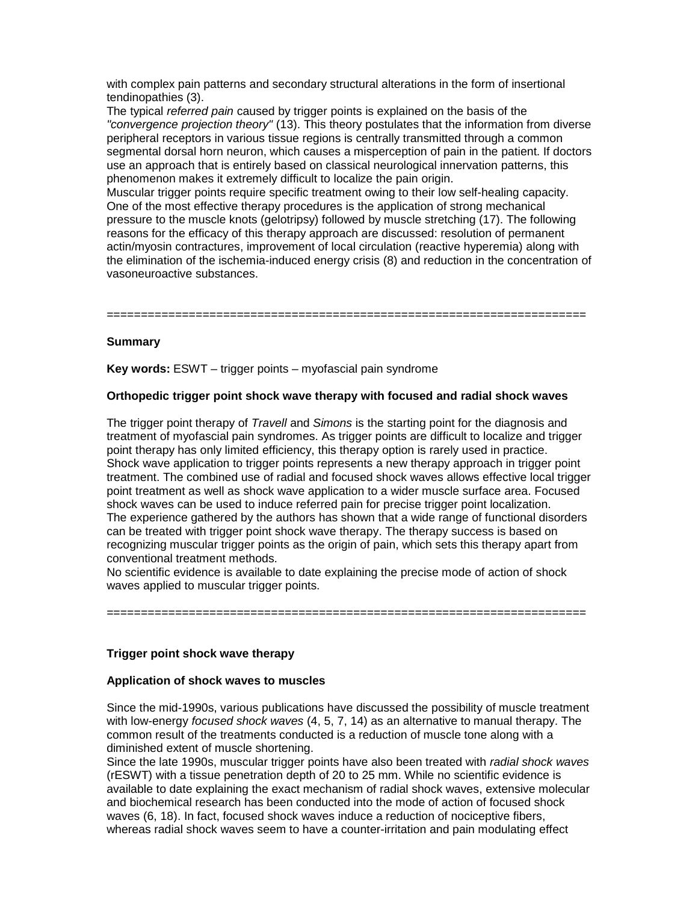with complex pain patterns and secondary structural alterations in the form of insertional tendinopathies (3).

The typical *referred pain* caused by trigger points is explained on the basis of the *"convergence projection theory"* (13). This theory postulates that the information from diverse peripheral receptors in various tissue regions is centrally transmitted through a common segmental dorsal horn neuron, which causes a misperception of pain in the patient. If doctors use an approach that is entirely based on classical neurological innervation patterns, this phenomenon makes it extremely difficult to localize the pain origin.

Muscular trigger points require specific treatment owing to their low self-healing capacity. One of the most effective therapy procedures is the application of strong mechanical pressure to the muscle knots (gelotripsy) followed by muscle stretching (17). The following reasons for the efficacy of this therapy approach are discussed: resolution of permanent actin/myosin contractures, improvement of local circulation (reactive hyperemia) along with the elimination of the ischemia-induced energy crisis (8) and reduction in the concentration of vasoneuroactive substances.

======================================================================

### **Summary**

**Key words:** ESWT – trigger points – myofascial pain syndrome

#### **Orthopedic trigger point shock wave therapy with focused and radial shock waves**

The trigger point therapy of *Travell* and *Simons* is the starting point for the diagnosis and treatment of myofascial pain syndromes. As trigger points are difficult to localize and trigger point therapy has only limited efficiency, this therapy option is rarely used in practice. Shock wave application to trigger points represents a new therapy approach in trigger point treatment. The combined use of radial and focused shock waves allows effective local trigger point treatment as well as shock wave application to a wider muscle surface area. Focused shock waves can be used to induce referred pain for precise trigger point localization. The experience gathered by the authors has shown that a wide range of functional disorders can be treated with trigger point shock wave therapy. The therapy success is based on recognizing muscular trigger points as the origin of pain, which sets this therapy apart from conventional treatment methods.

No scientific evidence is available to date explaining the precise mode of action of shock waves applied to muscular trigger points.

======================================================================

## **Trigger point shock wave therapy**

#### **Application of shock waves to muscles**

Since the mid-1990s, various publications have discussed the possibility of muscle treatment with low-energy *focused shock waves* (4, 5, 7, 14) as an alternative to manual therapy. The common result of the treatments conducted is a reduction of muscle tone along with a diminished extent of muscle shortening.

Since the late 1990s, muscular trigger points have also been treated with *radial shock waves* (rESWT) with a tissue penetration depth of 20 to 25 mm. While no scientific evidence is available to date explaining the exact mechanism of radial shock waves, extensive molecular and biochemical research has been conducted into the mode of action of focused shock waves (6, 18). In fact, focused shock waves induce a reduction of nociceptive fibers, whereas radial shock waves seem to have a counter-irritation and pain modulating effect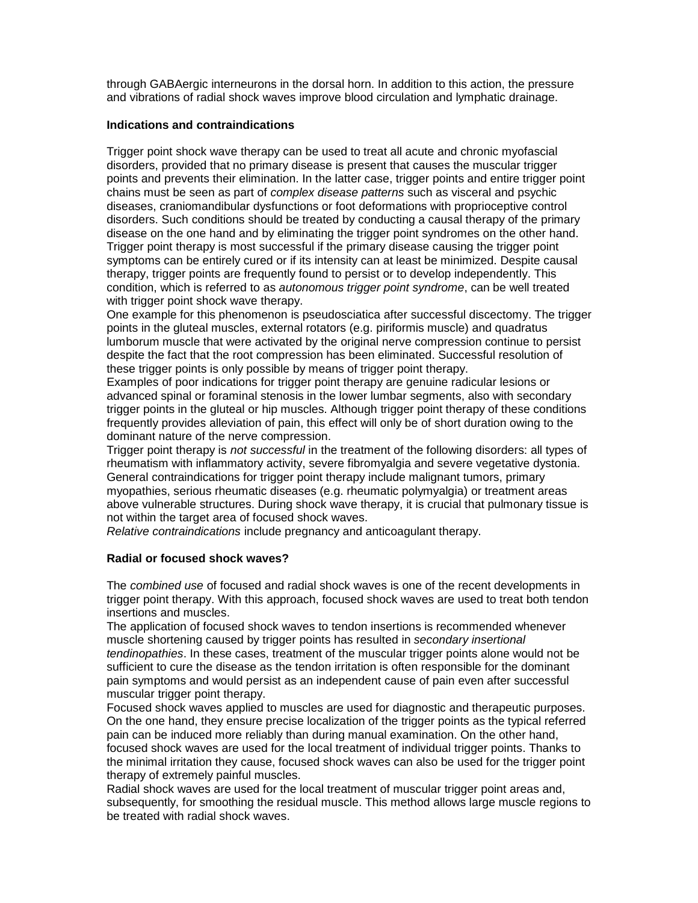through GABAergic interneurons in the dorsal horn. In addition to this action, the pressure and vibrations of radial shock waves improve blood circulation and lymphatic drainage.

#### **Indications and contraindications**

Trigger point shock wave therapy can be used to treat all acute and chronic myofascial disorders, provided that no primary disease is present that causes the muscular trigger points and prevents their elimination. In the latter case, trigger points and entire trigger point chains must be seen as part of *complex disease patterns* such as visceral and psychic diseases, craniomandibular dysfunctions or foot deformations with proprioceptive control disorders. Such conditions should be treated by conducting a causal therapy of the primary disease on the one hand and by eliminating the trigger point syndromes on the other hand. Trigger point therapy is most successful if the primary disease causing the trigger point symptoms can be entirely cured or if its intensity can at least be minimized. Despite causal therapy, trigger points are frequently found to persist or to develop independently. This condition, which is referred to as *autonomous trigger point syndrome*, can be well treated with trigger point shock wave therapy.

One example for this phenomenon is pseudosciatica after successful discectomy. The trigger points in the gluteal muscles, external rotators (e.g. piriformis muscle) and quadratus lumborum muscle that were activated by the original nerve compression continue to persist despite the fact that the root compression has been eliminated. Successful resolution of these trigger points is only possible by means of trigger point therapy.

Examples of poor indications for trigger point therapy are genuine radicular lesions or advanced spinal or foraminal stenosis in the lower lumbar segments, also with secondary trigger points in the gluteal or hip muscles. Although trigger point therapy of these conditions frequently provides alleviation of pain, this effect will only be of short duration owing to the dominant nature of the nerve compression.

Trigger point therapy is *not successful* in the treatment of the following disorders: all types of rheumatism with inflammatory activity, severe fibromyalgia and severe vegetative dystonia. General contraindications for trigger point therapy include malignant tumors, primary myopathies, serious rheumatic diseases (e.g. rheumatic polymyalgia) or treatment areas above vulnerable structures. During shock wave therapy, it is crucial that pulmonary tissue is not within the target area of focused shock waves.

*Relative contraindications* include pregnancy and anticoagulant therapy.

#### **Radial or focused shock waves?**

The *combined use* of focused and radial shock waves is one of the recent developments in trigger point therapy. With this approach, focused shock waves are used to treat both tendon insertions and muscles.

The application of focused shock waves to tendon insertions is recommended whenever muscle shortening caused by trigger points has resulted in *secondary insertional tendinopathies*. In these cases, treatment of the muscular trigger points alone would not be sufficient to cure the disease as the tendon irritation is often responsible for the dominant pain symptoms and would persist as an independent cause of pain even after successful muscular trigger point therapy.

Focused shock waves applied to muscles are used for diagnostic and therapeutic purposes. On the one hand, they ensure precise localization of the trigger points as the typical referred pain can be induced more reliably than during manual examination. On the other hand, focused shock waves are used for the local treatment of individual trigger points. Thanks to the minimal irritation they cause, focused shock waves can also be used for the trigger point therapy of extremely painful muscles.

Radial shock waves are used for the local treatment of muscular trigger point areas and, subsequently, for smoothing the residual muscle. This method allows large muscle regions to be treated with radial shock waves.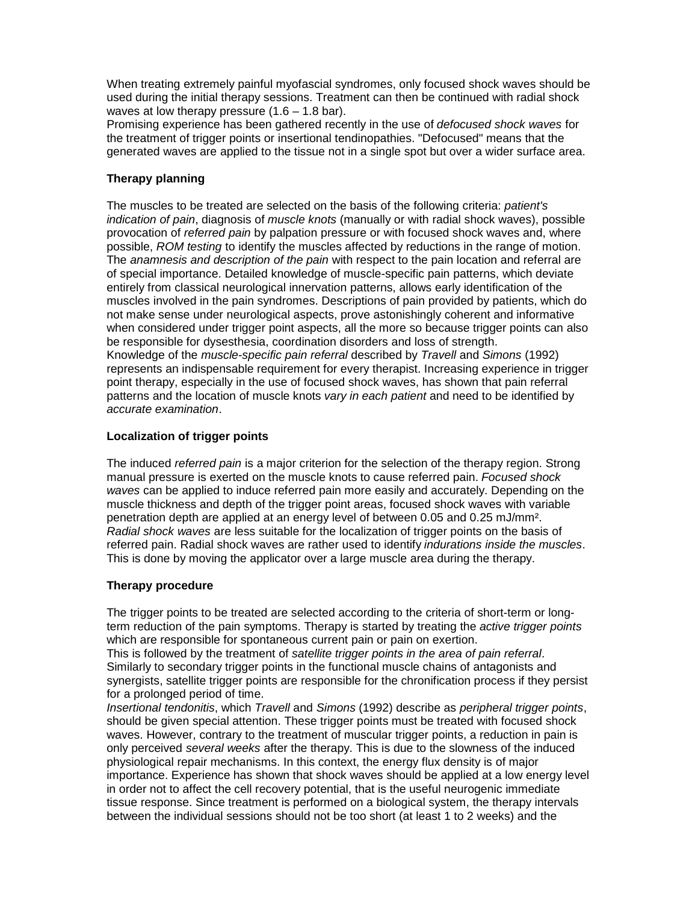When treating extremely painful myofascial syndromes, only focused shock waves should be used during the initial therapy sessions. Treatment can then be continued with radial shock waves at low therapy pressure  $(1.6 - 1.8 \text{ bar})$ .

Promising experience has been gathered recently in the use of *defocused shock waves* for the treatment of trigger points or insertional tendinopathies. "Defocused" means that the generated waves are applied to the tissue not in a single spot but over a wider surface area.

# **Therapy planning**

The muscles to be treated are selected on the basis of the following criteria: *patient's indication of pain*, diagnosis of *muscle knots* (manually or with radial shock waves), possible provocation of *referred pain* by palpation pressure or with focused shock waves and, where possible, *ROM testing* to identify the muscles affected by reductions in the range of motion. The *anamnesis and description of the pain* with respect to the pain location and referral are of special importance. Detailed knowledge of muscle-specific pain patterns, which deviate entirely from classical neurological innervation patterns, allows early identification of the muscles involved in the pain syndromes. Descriptions of pain provided by patients, which do not make sense under neurological aspects, prove astonishingly coherent and informative when considered under trigger point aspects, all the more so because trigger points can also be responsible for dysesthesia, coordination disorders and loss of strength. Knowledge of the *muscle-specific pain referral* described by *Travell* and *Simons* (1992) represents an indispensable requirement for every therapist. Increasing experience in trigger point therapy, especially in the use of focused shock waves, has shown that pain referral patterns and the location of muscle knots *vary in each patient* and need to be identified by *accurate examination*.

# **Localization of trigger points**

The induced *referred pain* is a major criterion for the selection of the therapy region. Strong manual pressure is exerted on the muscle knots to cause referred pain. *Focused shock waves* can be applied to induce referred pain more easily and accurately. Depending on the muscle thickness and depth of the trigger point areas, focused shock waves with variable penetration depth are applied at an energy level of between 0.05 and 0.25 mJ/mm². *Radial shock waves* are less suitable for the localization of trigger points on the basis of referred pain. Radial shock waves are rather used to identify *indurations inside the muscles*. This is done by moving the applicator over a large muscle area during the therapy.

## **Therapy procedure**

The trigger points to be treated are selected according to the criteria of short-term or longterm reduction of the pain symptoms. Therapy is started by treating the *active trigger points* which are responsible for spontaneous current pain or pain on exertion.

This is followed by the treatment of *satellite trigger points in the area of pain referral*. Similarly to secondary trigger points in the functional muscle chains of antagonists and synergists, satellite trigger points are responsible for the chronification process if they persist for a prolonged period of time.

*Insertional tendonitis*, which *Travell* and *Simons* (1992) describe as *peripheral trigger points*, should be given special attention. These trigger points must be treated with focused shock waves. However, contrary to the treatment of muscular trigger points, a reduction in pain is only perceived *several weeks* after the therapy. This is due to the slowness of the induced physiological repair mechanisms. In this context, the energy flux density is of major importance. Experience has shown that shock waves should be applied at a low energy level in order not to affect the cell recovery potential, that is the useful neurogenic immediate tissue response. Since treatment is performed on a biological system, the therapy intervals between the individual sessions should not be too short (at least 1 to 2 weeks) and the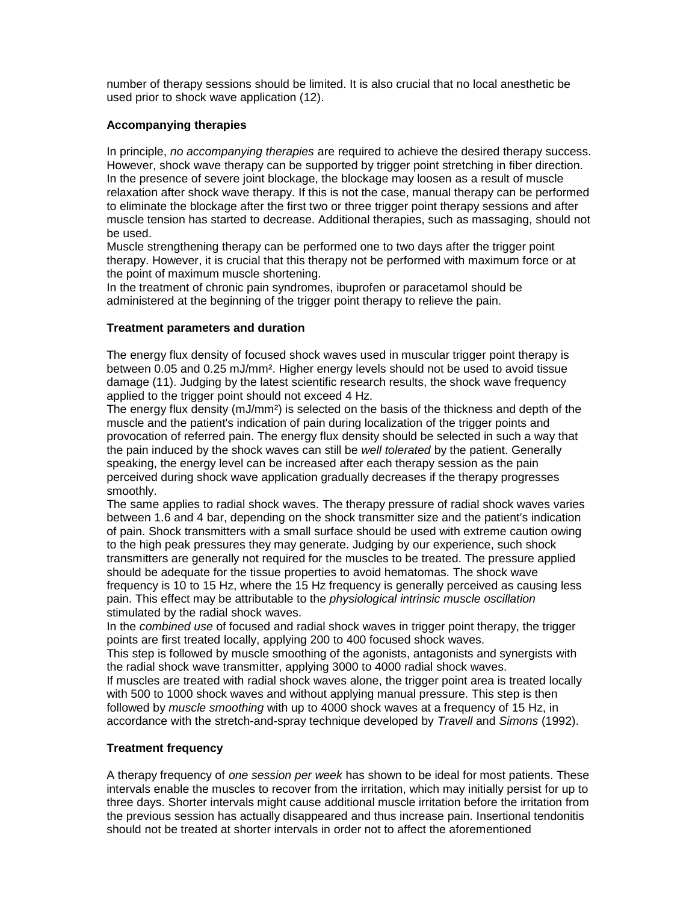number of therapy sessions should be limited. It is also crucial that no local anesthetic be used prior to shock wave application (12).

### **Accompanying therapies**

In principle, *no accompanying therapies* are required to achieve the desired therapy success. However, shock wave therapy can be supported by trigger point stretching in fiber direction. In the presence of severe joint blockage, the blockage may loosen as a result of muscle relaxation after shock wave therapy. If this is not the case, manual therapy can be performed to eliminate the blockage after the first two or three trigger point therapy sessions and after muscle tension has started to decrease. Additional therapies, such as massaging, should not be used.

Muscle strengthening therapy can be performed one to two days after the trigger point therapy. However, it is crucial that this therapy not be performed with maximum force or at the point of maximum muscle shortening.

In the treatment of chronic pain syndromes, ibuprofen or paracetamol should be administered at the beginning of the trigger point therapy to relieve the pain.

### **Treatment parameters and duration**

The energy flux density of focused shock waves used in muscular trigger point therapy is between 0.05 and 0.25 mJ/mm². Higher energy levels should not be used to avoid tissue damage (11). Judging by the latest scientific research results, the shock wave frequency applied to the trigger point should not exceed 4 Hz.

The energy flux density (mJ/mm<sup>2</sup>) is selected on the basis of the thickness and depth of the muscle and the patient's indication of pain during localization of the trigger points and provocation of referred pain. The energy flux density should be selected in such a way that the pain induced by the shock waves can still be *well tolerated* by the patient. Generally speaking, the energy level can be increased after each therapy session as the pain perceived during shock wave application gradually decreases if the therapy progresses smoothly.

The same applies to radial shock waves. The therapy pressure of radial shock waves varies between 1.6 and 4 bar, depending on the shock transmitter size and the patient's indication of pain. Shock transmitters with a small surface should be used with extreme caution owing to the high peak pressures they may generate. Judging by our experience, such shock transmitters are generally not required for the muscles to be treated. The pressure applied should be adequate for the tissue properties to avoid hematomas. The shock wave frequency is 10 to 15 Hz, where the 15 Hz frequency is generally perceived as causing less pain. This effect may be attributable to the *physiological intrinsic muscle oscillation* stimulated by the radial shock waves.

In the *combined use* of focused and radial shock waves in trigger point therapy, the trigger points are first treated locally, applying 200 to 400 focused shock waves.

This step is followed by muscle smoothing of the agonists, antagonists and synergists with the radial shock wave transmitter, applying 3000 to 4000 radial shock waves.

If muscles are treated with radial shock waves alone, the trigger point area is treated locally with 500 to 1000 shock waves and without applying manual pressure. This step is then followed by *muscle smoothing* with up to 4000 shock waves at a frequency of 15 Hz, in accordance with the stretch-and-spray technique developed by *Travell* and *Simons* (1992).

## **Treatment frequency**

A therapy frequency of *one session per week* has shown to be ideal for most patients. These intervals enable the muscles to recover from the irritation, which may initially persist for up to three days. Shorter intervals might cause additional muscle irritation before the irritation from the previous session has actually disappeared and thus increase pain. Insertional tendonitis should not be treated at shorter intervals in order not to affect the aforementioned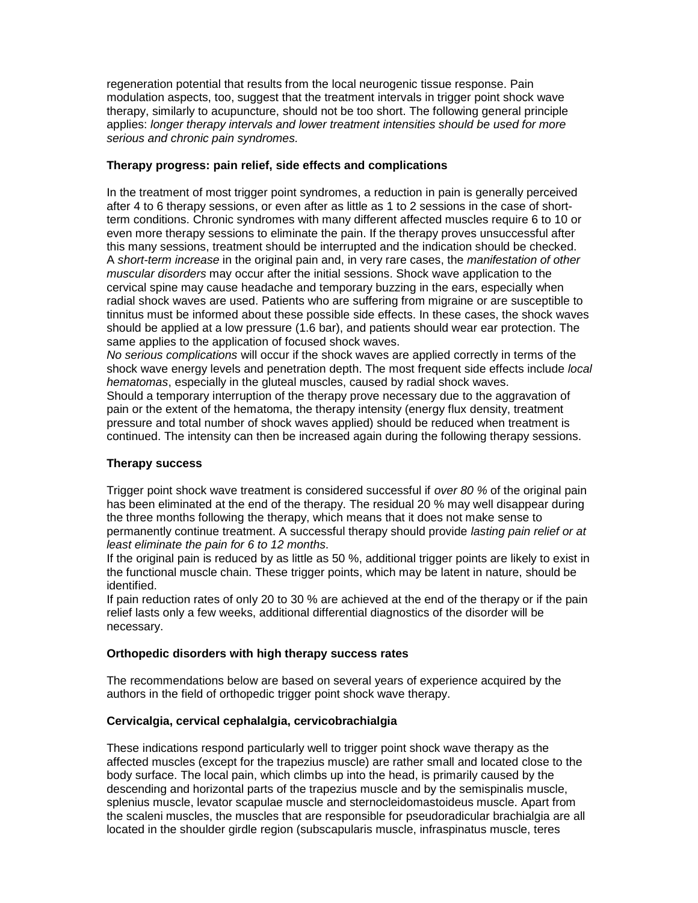regeneration potential that results from the local neurogenic tissue response. Pain modulation aspects, too, suggest that the treatment intervals in trigger point shock wave therapy, similarly to acupuncture, should not be too short. The following general principle applies: *longer therapy intervals and lower treatment intensities should be used for more serious and chronic pain syndromes.*

### **Therapy progress: pain relief, side effects and complications**

In the treatment of most trigger point syndromes, a reduction in pain is generally perceived after 4 to 6 therapy sessions, or even after as little as 1 to 2 sessions in the case of shortterm conditions. Chronic syndromes with many different affected muscles require 6 to 10 or even more therapy sessions to eliminate the pain. If the therapy proves unsuccessful after this many sessions, treatment should be interrupted and the indication should be checked. A *short-term increase* in the original pain and, in very rare cases, the *manifestation of other muscular disorders* may occur after the initial sessions. Shock wave application to the cervical spine may cause headache and temporary buzzing in the ears, especially when radial shock waves are used. Patients who are suffering from migraine or are susceptible to tinnitus must be informed about these possible side effects. In these cases, the shock waves should be applied at a low pressure (1.6 bar), and patients should wear ear protection. The same applies to the application of focused shock waves.

*No serious complications* will occur if the shock waves are applied correctly in terms of the shock wave energy levels and penetration depth. The most frequent side effects include *local hematomas*, especially in the gluteal muscles, caused by radial shock waves.

Should a temporary interruption of the therapy prove necessary due to the aggravation of pain or the extent of the hematoma, the therapy intensity (energy flux density, treatment pressure and total number of shock waves applied) should be reduced when treatment is continued. The intensity can then be increased again during the following therapy sessions.

#### **Therapy success**

Trigger point shock wave treatment is considered successful if *over 80 %* of the original pain has been eliminated at the end of the therapy. The residual 20 % may well disappear during the three months following the therapy, which means that it does not make sense to permanently continue treatment. A successful therapy should provide *lasting pain relief or at least eliminate the pain for 6 to 12 months*.

If the original pain is reduced by as little as 50 %, additional trigger points are likely to exist in the functional muscle chain. These trigger points, which may be latent in nature, should be identified.

If pain reduction rates of only 20 to 30 % are achieved at the end of the therapy or if the pain relief lasts only a few weeks, additional differential diagnostics of the disorder will be necessary.

## **Orthopedic disorders with high therapy success rates**

The recommendations below are based on several years of experience acquired by the authors in the field of orthopedic trigger point shock wave therapy.

## **Cervicalgia, cervical cephalalgia, cervicobrachialgia**

These indications respond particularly well to trigger point shock wave therapy as the affected muscles (except for the trapezius muscle) are rather small and located close to the body surface. The local pain, which climbs up into the head, is primarily caused by the descending and horizontal parts of the trapezius muscle and by the semispinalis muscle, splenius muscle, levator scapulae muscle and sternocleidomastoideus muscle. Apart from the scaleni muscles, the muscles that are responsible for pseudoradicular brachialgia are all located in the shoulder girdle region (subscapularis muscle, infraspinatus muscle, teres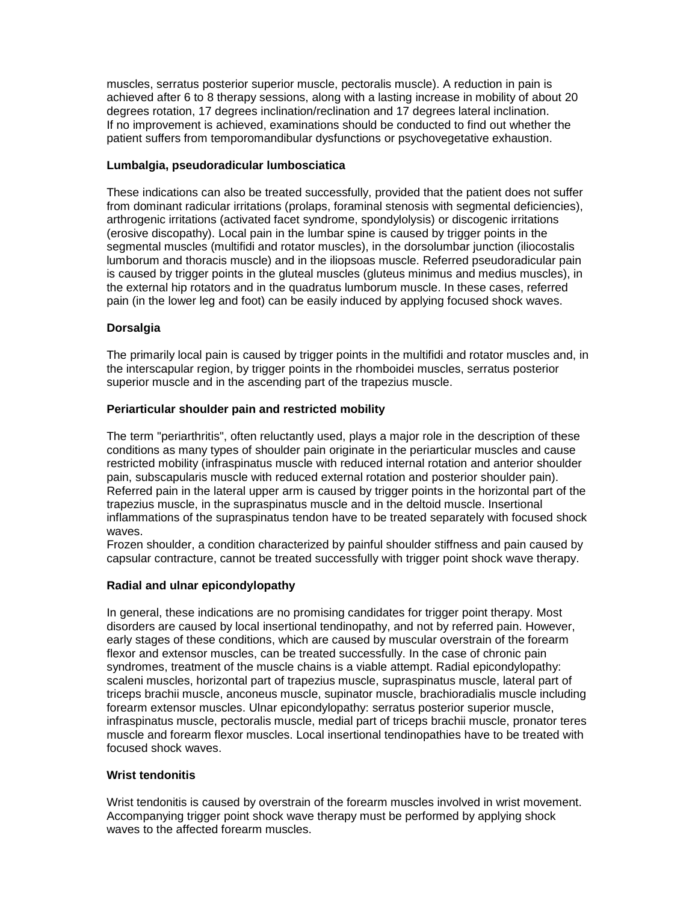muscles, serratus posterior superior muscle, pectoralis muscle). A reduction in pain is achieved after 6 to 8 therapy sessions, along with a lasting increase in mobility of about 20 degrees rotation, 17 degrees inclination/reclination and 17 degrees lateral inclination. If no improvement is achieved, examinations should be conducted to find out whether the patient suffers from temporomandibular dysfunctions or psychovegetative exhaustion.

### **Lumbalgia, pseudoradicular lumbosciatica**

These indications can also be treated successfully, provided that the patient does not suffer from dominant radicular irritations (prolaps, foraminal stenosis with segmental deficiencies), arthrogenic irritations (activated facet syndrome, spondylolysis) or discogenic irritations (erosive discopathy). Local pain in the lumbar spine is caused by trigger points in the segmental muscles (multifidi and rotator muscles), in the dorsolumbar junction (iliocostalis lumborum and thoracis muscle) and in the iliopsoas muscle. Referred pseudoradicular pain is caused by trigger points in the gluteal muscles (gluteus minimus and medius muscles), in the external hip rotators and in the quadratus lumborum muscle. In these cases, referred pain (in the lower leg and foot) can be easily induced by applying focused shock waves.

### **Dorsalgia**

The primarily local pain is caused by trigger points in the multifidi and rotator muscles and, in the interscapular region, by trigger points in the rhomboidei muscles, serratus posterior superior muscle and in the ascending part of the trapezius muscle.

### **Periarticular shoulder pain and restricted mobility**

The term "periarthritis", often reluctantly used, plays a major role in the description of these conditions as many types of shoulder pain originate in the periarticular muscles and cause restricted mobility (infraspinatus muscle with reduced internal rotation and anterior shoulder pain, subscapularis muscle with reduced external rotation and posterior shoulder pain). Referred pain in the lateral upper arm is caused by trigger points in the horizontal part of the trapezius muscle, in the supraspinatus muscle and in the deltoid muscle. Insertional inflammations of the supraspinatus tendon have to be treated separately with focused shock waves.

Frozen shoulder, a condition characterized by painful shoulder stiffness and pain caused by capsular contracture, cannot be treated successfully with trigger point shock wave therapy.

## **Radial and ulnar epicondylopathy**

In general, these indications are no promising candidates for trigger point therapy. Most disorders are caused by local insertional tendinopathy, and not by referred pain. However, early stages of these conditions, which are caused by muscular overstrain of the forearm flexor and extensor muscles, can be treated successfully. In the case of chronic pain syndromes, treatment of the muscle chains is a viable attempt. Radial epicondylopathy: scaleni muscles, horizontal part of trapezius muscle, supraspinatus muscle, lateral part of triceps brachii muscle, anconeus muscle, supinator muscle, brachioradialis muscle including forearm extensor muscles. Ulnar epicondylopathy: serratus posterior superior muscle, infraspinatus muscle, pectoralis muscle, medial part of triceps brachii muscle, pronator teres muscle and forearm flexor muscles. Local insertional tendinopathies have to be treated with focused shock waves.

### **Wrist tendonitis**

Wrist tendonitis is caused by overstrain of the forearm muscles involved in wrist movement. Accompanying trigger point shock wave therapy must be performed by applying shock waves to the affected forearm muscles.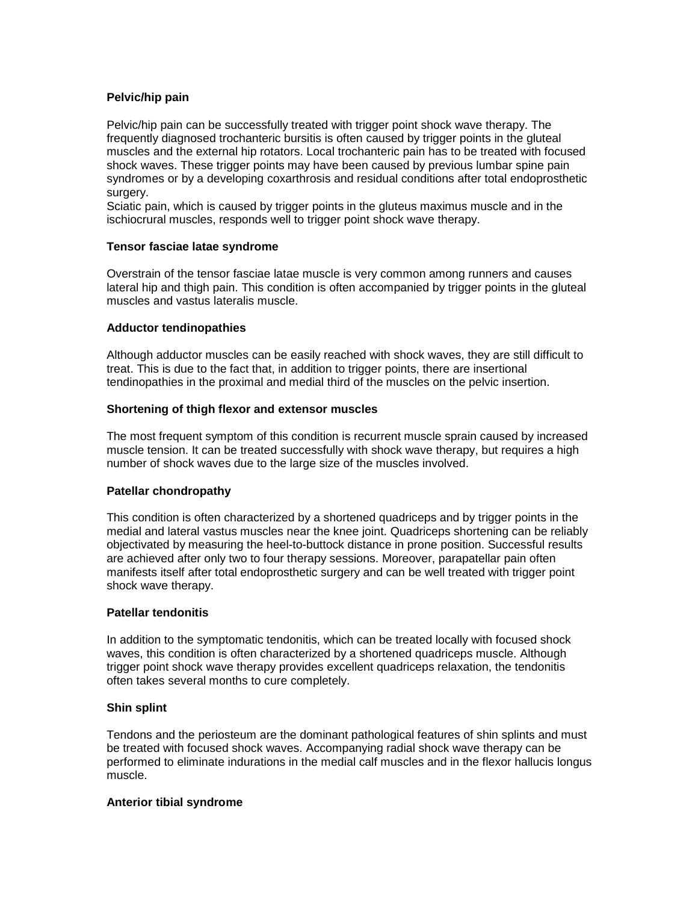## **Pelvic/hip pain**

Pelvic/hip pain can be successfully treated with trigger point shock wave therapy. The frequently diagnosed trochanteric bursitis is often caused by trigger points in the gluteal muscles and the external hip rotators. Local trochanteric pain has to be treated with focused shock waves. These trigger points may have been caused by previous lumbar spine pain syndromes or by a developing coxarthrosis and residual conditions after total endoprosthetic surgery.

Sciatic pain, which is caused by trigger points in the gluteus maximus muscle and in the ischiocrural muscles, responds well to trigger point shock wave therapy.

### **Tensor fasciae latae syndrome**

Overstrain of the tensor fasciae latae muscle is very common among runners and causes lateral hip and thigh pain. This condition is often accompanied by trigger points in the gluteal muscles and vastus lateralis muscle.

### **Adductor tendinopathies**

Although adductor muscles can be easily reached with shock waves, they are still difficult to treat. This is due to the fact that, in addition to trigger points, there are insertional tendinopathies in the proximal and medial third of the muscles on the pelvic insertion.

### **Shortening of thigh flexor and extensor muscles**

The most frequent symptom of this condition is recurrent muscle sprain caused by increased muscle tension. It can be treated successfully with shock wave therapy, but requires a high number of shock waves due to the large size of the muscles involved.

#### **Patellar chondropathy**

This condition is often characterized by a shortened quadriceps and by trigger points in the medial and lateral vastus muscles near the knee joint. Quadriceps shortening can be reliably objectivated by measuring the heel-to-buttock distance in prone position. Successful results are achieved after only two to four therapy sessions. Moreover, parapatellar pain often manifests itself after total endoprosthetic surgery and can be well treated with trigger point shock wave therapy.

#### **Patellar tendonitis**

In addition to the symptomatic tendonitis, which can be treated locally with focused shock waves, this condition is often characterized by a shortened quadriceps muscle. Although trigger point shock wave therapy provides excellent quadriceps relaxation, the tendonitis often takes several months to cure completely.

#### **Shin splint**

Tendons and the periosteum are the dominant pathological features of shin splints and must be treated with focused shock waves. Accompanying radial shock wave therapy can be performed to eliminate indurations in the medial calf muscles and in the flexor hallucis longus muscle.

#### **Anterior tibial syndrome**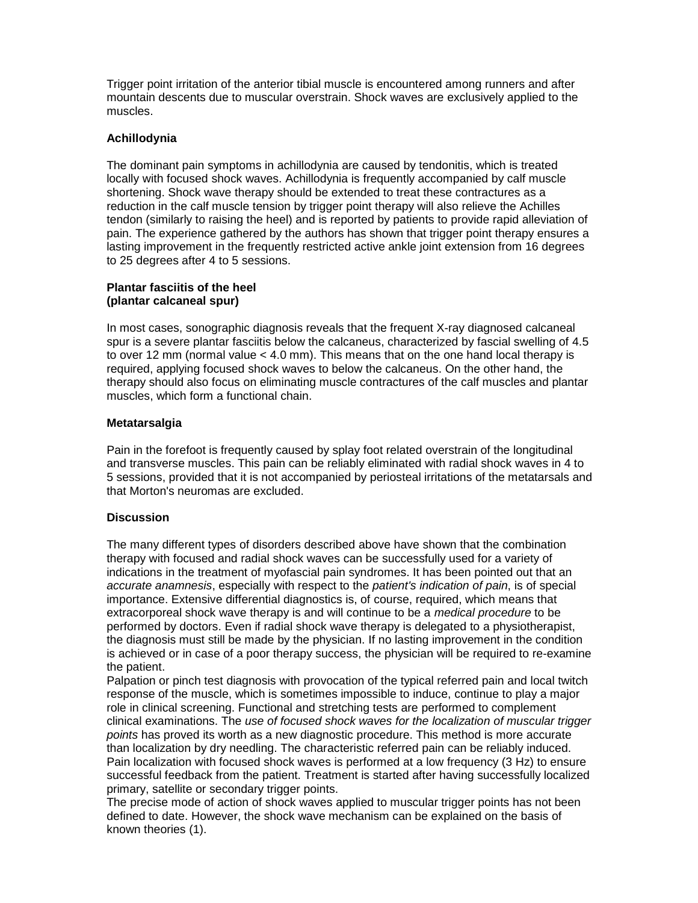Trigger point irritation of the anterior tibial muscle is encountered among runners and after mountain descents due to muscular overstrain. Shock waves are exclusively applied to the muscles.

### **Achillodynia**

The dominant pain symptoms in achillodynia are caused by tendonitis, which is treated locally with focused shock waves. Achillodynia is frequently accompanied by calf muscle shortening. Shock wave therapy should be extended to treat these contractures as a reduction in the calf muscle tension by trigger point therapy will also relieve the Achilles tendon (similarly to raising the heel) and is reported by patients to provide rapid alleviation of pain. The experience gathered by the authors has shown that trigger point therapy ensures a lasting improvement in the frequently restricted active ankle joint extension from 16 degrees to 25 degrees after 4 to 5 sessions.

### **Plantar fasciitis of the heel (plantar calcaneal spur)**

In most cases, sonographic diagnosis reveals that the frequent X-ray diagnosed calcaneal spur is a severe plantar fasciitis below the calcaneus, characterized by fascial swelling of 4.5 to over 12 mm (normal value < 4.0 mm). This means that on the one hand local therapy is required, applying focused shock waves to below the calcaneus. On the other hand, the therapy should also focus on eliminating muscle contractures of the calf muscles and plantar muscles, which form a functional chain.

## **Metatarsalgia**

Pain in the forefoot is frequently caused by splay foot related overstrain of the longitudinal and transverse muscles. This pain can be reliably eliminated with radial shock waves in 4 to 5 sessions, provided that it is not accompanied by periosteal irritations of the metatarsals and that Morton's neuromas are excluded.

## **Discussion**

The many different types of disorders described above have shown that the combination therapy with focused and radial shock waves can be successfully used for a variety of indications in the treatment of myofascial pain syndromes. It has been pointed out that an *accurate anamnesis*, especially with respect to the *patient's indication of pain*, is of special importance. Extensive differential diagnostics is, of course, required, which means that extracorporeal shock wave therapy is and will continue to be a *medical procedure* to be performed by doctors. Even if radial shock wave therapy is delegated to a physiotherapist, the diagnosis must still be made by the physician. If no lasting improvement in the condition is achieved or in case of a poor therapy success, the physician will be required to re-examine the patient.

Palpation or pinch test diagnosis with provocation of the typical referred pain and local twitch response of the muscle, which is sometimes impossible to induce, continue to play a major role in clinical screening. Functional and stretching tests are performed to complement clinical examinations. The *use of focused shock waves for the localization of muscular trigger points* has proved its worth as a new diagnostic procedure. This method is more accurate than localization by dry needling. The characteristic referred pain can be reliably induced. Pain localization with focused shock waves is performed at a low frequency (3 Hz) to ensure successful feedback from the patient. Treatment is started after having successfully localized primary, satellite or secondary trigger points.

The precise mode of action of shock waves applied to muscular trigger points has not been defined to date. However, the shock wave mechanism can be explained on the basis of known theories (1).